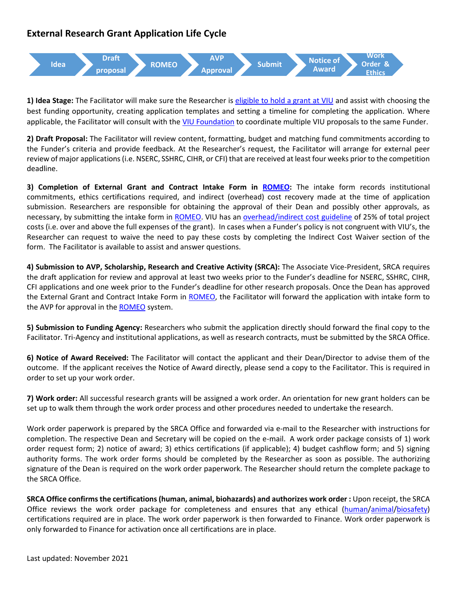## **External Research Grant Application Life Cycle**



**1) Idea Stage:** The Facilitator will make sure the Researcher is [eligible to hold a grant at VIU](https://research.viu.ca/sites/default/files/eligibility_to_hold_a_research_grant_guidelines.pdf) and assist with choosing the best funding opportunity, creating application templates and setting a timeline for completing the application. Where applicable, the Facilitator will consult with the [VIU Foundation](https://adm.viu.ca/advancement/viu-foundation) to coordinate multiple VIU proposals to the same Funder.

**2) Draft Proposal:** The Facilitator will review content, formatting, budget and matching fund commitments according to the Funder's criteria and provide feedback. At the Researcher's request, the Facilitator will arrange for external peer review of major applications (i.e. NSERC, SSHRC, CIHR, or CFI) that are received at least four weeks prior to the competition deadline.

**3) Completion of External Grant and Contract Intake Form in [ROMEO:](https://research.viu.ca/romeo)** The intake form records institutional commitments, ethics certifications required, and indirect (overhead) cost recovery made at the time of application submission. Researchers are responsible for obtaining the approval of their Dean and possibly other approvals, as necessary, by submitting the intake form in [ROMEO.](https://research.viu.ca/romeo) VIU has an [overhead/indirect cost guideline](https://research.viu.ca/sites/default/files/indirect_costs_recovery_and_distribution_-_2019_0.pdf) of 25% of total project costs (i.e. over and above the full expenses of the grant). In cases when a Funder's policy is not congruent with VIU's, the Researcher can request to waive the need to pay these costs by completing the Indirect Cost Waiver section of the form. The Facilitator is available to assist and answer questions.

**4) Submission to AVP, Scholarship, Research and Creative Activity (SRCA):** The Associate Vice-President, SRCA requires the draft application for review and approval at least two weeks prior to the Funder's deadline for NSERC, SSHRC, CIHR, CFI applications and one week prior to the Funder's deadline for other research proposals. Once the Dean has approved the External Grant and Contract Intake Form in [ROMEO,](https://research.viu.ca/romeo) the Facilitator will forward the application with intake form to the AVP for approval in the **ROMEO** system.

**5) Submission to Funding Agency:** Researchers who submit the application directly should forward the final copy to the Facilitator. Tri-Agency and institutional applications, as well as research contracts, must be submitted by the SRCA Office.

**6) Notice of Award Received:** The Facilitator will contact the applicant and their Dean/Director to advise them of the outcome. If the applicant receives the Notice of Award directly, please send a copy to the Facilitator. This is required in order to set up your work order.

**7) Work order:** All successful research grants will be assigned a work order. An orientation for new grant holders can be set up to walk them through the work order process and other procedures needed to undertake the research.

Work order paperwork is prepared by the SRCA Office and forwarded via e-mail to the Researcher with instructions for completion. The respective Dean and Secretary will be copied on the e-mail. A work order package consists of 1) work order request form; 2) notice of award; 3) ethics certifications (if applicable); 4) budget cashflow form; and 5) signing authority forms. The work order forms should be completed by the Researcher as soon as possible. The authorizing signature of the Dean is required on the work order paperwork. The Researcher should return the complete package to the SRCA Office.

**SRCA Office confirms the certifications (human, animal, biohazards) and authorizes work order :** Upon receipt, the SRCA Office reviews the work order package for completeness and ensures that any ethical [\(human](http://research.viu.ca/research-ethics-board)[/animal](http://research.viu.ca/animal-care-committee/animal-care-and-use-viu)[/biosafety\)](https://adm.viu.ca/health-and-safety/biosafety) certifications required are in place. The work order paperwork is then forwarded to Finance. Work order paperwork is only forwarded to Finance for activation once all certifications are in place.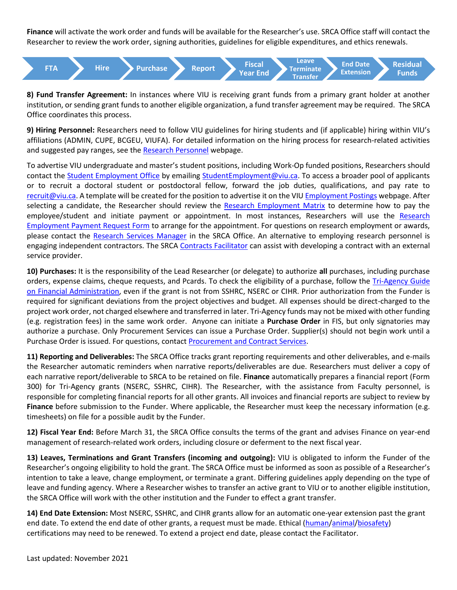**Finance** will activate the work order and funds will be available for the Researcher's use. SRCA Office staff will contact the Researcher to review the work order, signing authorities, guidelines for eligible expenditures, and ethics renewals.



**8) Fund Transfer Agreement:** In instances where VIU is receiving grant funds from a primary grant holder at another institution, or sending grant funds to another eligible organization, a fund transfer agreement may be required. The SRCA Office coordinates this process.

**9) Hiring Personnel:** Researchers need to follow VIU guidelines for hiring students and (if applicable) hiring within VIU's affiliations (ADMIN, CUPE, BCGEU, VIUFA). For detailed information on the hiring process for research-related activities and suggested pay ranges, see th[e Research](https://research.viu.ca/personnel) Personnel webpage.

To advertise VIU undergraduate and master's student positions, including Work-Op funded positions, Researchers should contact the [Student Employment Office](https://services.viu.ca/career-services/student-employment-campus-jobs) by emailing [StudentEmployment@viu.ca.](mailto:StudentEmployment@viu.ca) To access a broader pool of applicants or to recruit a doctoral student or postdoctoral fellow, forward the job duties, qualifications, and pay rate to [recruit@viu.ca.](mailto:recruit@viu.ca) A template will be created for the position to advertise it on the VIU [Employment Postings](https://www2.viu.ca/HumanResources/postings/) webpage. After selecting a candidate, the Researcher should review the [Research Employment Matrix](http://isapp.viu.ca/VIUWEB/commViewer/docshow.asp?doc_id=27609) to determine how to pay the employee/student and initiate payment or appointment. In most instances, Researchers will use the [Research](http://isapp.viu.ca/VIUWEB/commViewer/docshow.asp?doc_id=27610)  [Employment Payment Request Form](http://isapp.viu.ca/VIUWEB/commViewer/docshow.asp?doc_id=27610) to arrange for the appointment. For questions on research employment or awards, please contact the [Research Services Manager](https://research.viu.ca/contact-us) in the SRCA Office. An alternative to employing research personnel is engaging independent contractors. The SRCA [Contracts Facilitator](https://research.viu.ca/contact-us) can assist with developing a contract with an external service provider.

**10) Purchases:** It is the responsibility of the Lead Researcher (or delegate) to authorize **all** purchases, including purchase orders, expense claims, cheque requests, and Pcards. To check the eligibility of a purchase, follow the Tri-Agency Guide [on Financial Administration,](https://www.nserc-crsng.gc.ca/InterAgency-Interorganismes/TAFA-AFTO/index_eng.asp) even if the grant is not from SSHRC, NSERC or CIHR. Prior authorization from the Funder is required for significant deviations from the project objectives and budget. All expenses should be direct-charged to the project work order, not charged elsewhere and transferred in later. Tri-Agency funds may not be mixed with other funding (e.g. registration fees) in the same work order. Anyone can initiate a **Purchase Order** in FIS, but only signatories may authorize a purchase. Only Procurement Services can issue a Purchase Order. Supplier(s) should not begin work until a Purchase Order is issued. For questions, contac[t Procurement and Contract Services.](https://employees.viu.ca/procurement-contract-services)

**11) Reporting and Deliverables:** The SRCA Office tracks grant reporting requirements and other deliverables, and e-mails the Researcher automatic reminders when narrative reports/deliverables are due. Researchers must deliver a copy of each narrative report/deliverable to SRCA to be retained on file. **Finance** automatically prepares a financial report (Form 300) for Tri-Agency grants (NSERC, SSHRC, CIHR). The Researcher, with the assistance from Faculty personnel, is responsible for completing financial reports for all other grants. All invoices and financial reports are subject to review by **Finance** before submission to the Funder. Where applicable, the Researcher must keep the necessary information (e.g. timesheets) on file for a possible audit by the Funder.

**12) Fiscal Year End:** Before March 31, the SRCA Office consults the terms of the grant and advises Finance on year-end management of research-related work orders, including closure or deferment to the next fiscal year.

**13) Leaves, Terminations and Grant Transfers (incoming and outgoing):** VIU is obligated to inform the Funder of the Researcher's ongoing eligibility to hold the grant. The SRCA Office must be informed as soon as possible of a Researcher's intention to take a leave, change employment, or terminate a grant. Differing guidelines apply depending on the type of leave and funding agency. Where a Researcher wishes to transfer an active grant to VIU or to another eligible institution, the SRCA Office will work with the other institution and the Funder to effect a grant transfer.

**14) End Date Extension:** Most NSERC, SSHRC, and CIHR grants allow for an automatic one-year extension past the grant end date. To extend the end date of other grants, a request must be made. Ethical [\(human/](http://research.viu.ca/research-ethics-board)[animal](https://research.viu.ca/animal-care)[/biosafety\)](https://adm.viu.ca/health-and-safety/biosafety) certifications may need to be renewed. To extend a project end date, please contact the Facilitator.